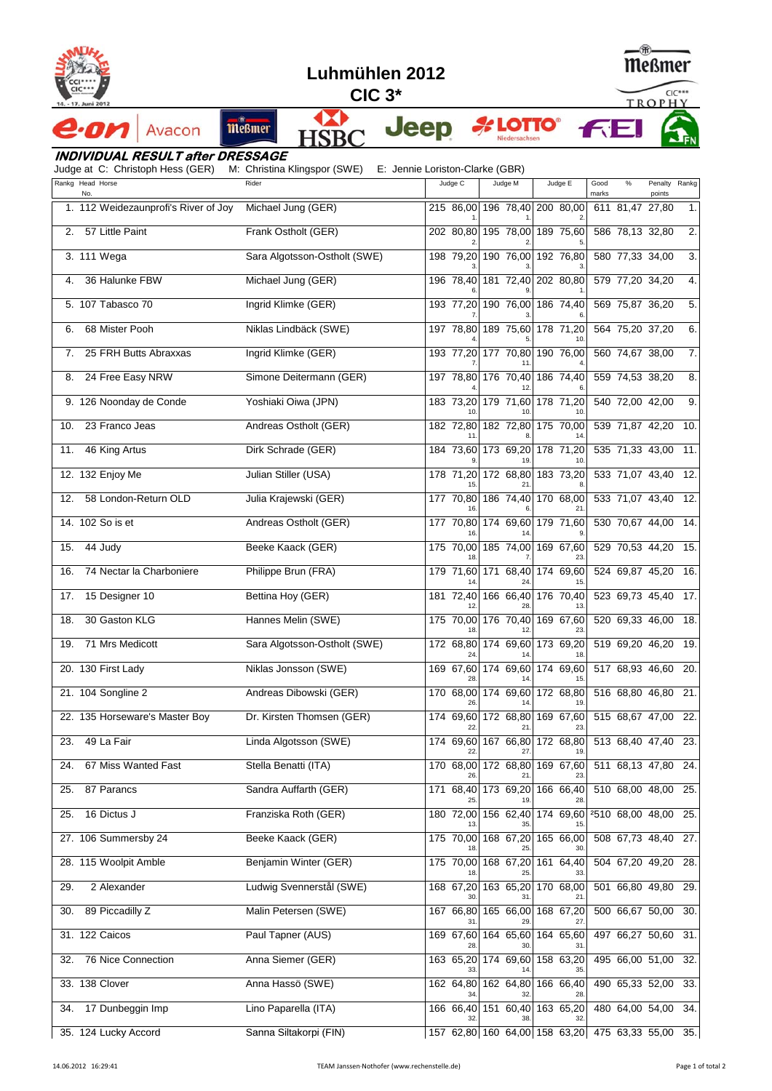

·OM



**Jeep** 

**LOTTO®** 



**FE** 

**CIC 3\***

Œ

## **HSBC INDIVIDUAL RESULT after DRESSAGE**

Avacon

Judge at C: Christoph Hess (GER) M: Christina Klingspor (SWE) E: Jennie Loriston-Clarke (GBR)

meßmer

|     |                                      | - ا- ت                       |           |                                      |                                                   |               |                 |                         |                  |
|-----|--------------------------------------|------------------------------|-----------|--------------------------------------|---------------------------------------------------|---------------|-----------------|-------------------------|------------------|
|     | Rankg Head Horse<br>No.              | Rider                        | Judge C   | Judge M                              | Judge E                                           | Good<br>marks | $\%$            | Penalty Rankg<br>points |                  |
|     | 1. 112 Weidezaunprofi's River of Joy | Michael Jung (GER)           |           | 215 86,00 196 78,40 200 80,00        |                                                   |               | 611 81,47 27,80 |                         | 1.               |
| 2.  | 57 Little Paint                      | Frank Ostholt (GER)          | 202 80,80 | 195 78,00                            | 189 75,60                                         |               | 586 78,13 32,80 |                         | 2.               |
|     | 3. 111 Wega                          | Sara Algotsson-Ostholt (SWE) | 198 79,20 |                                      | 190 76,00 192 76,80                               |               | 580 77,33 34,00 |                         | $\overline{3}$ . |
| 4.  | 36 Halunke FBW                       | Michael Jung (GER)           | 196 78,40 |                                      | 181 72,40 202 80,80                               |               | 579 77,20 34,20 |                         | 4.               |
|     | 5. 107 Tabasco 70                    | Ingrid Klimke (GER)          | 193 77,20 |                                      | 190 76,00 186 74,40                               |               | 569 75,87 36,20 |                         | 5.               |
| 6.  | 68 Mister Pooh                       | Niklas Lindbäck (SWE)        | 197 78,80 |                                      | 189 75,60 178 71,20                               |               | 564 75,20 37,20 |                         | 6.               |
| 7.  | 25 FRH Butts Abraxxas                | Ingrid Klimke (GER)          |           | 193 77,20 177 70,80 190 76,00        |                                                   |               | 560 74,67 38,00 |                         | 7.               |
| 8.  | 24 Free Easy NRW                     | Simone Deitermann (GER)      |           | 197 78,80 176 70,40 186 74,40        |                                                   |               | 559 74,53 38,20 |                         | 8.               |
|     | 9. 126 Noonday de Conde              | Yoshiaki Oiwa (JPN)          | 183 73,20 |                                      | 179 71,60 178 71,20                               |               | 540 72,00 42,00 |                         | 9.               |
| 10. | 23 Franco Jeas                       | Andreas Ostholt (GER)        | 182 72,80 |                                      | 182 72,80 175 70,00                               |               | 539 71,87 42,20 |                         | 10.              |
| 11. | 46 King Artus                        | Dirk Schrade (GER)           |           | 184 73,60 173 69,20 178 71,20        |                                                   |               |                 | 535 71,33 43,00         | 11.              |
|     | 12. 132 Enjoy Me                     | Julian Stiller (USA)         | 178 71,20 | 172 68,80                            | 183 73,20                                         |               |                 | 533 71,07 43,40         | 12.              |
| 12. | 58 London-Return OLD                 | Julia Krajewski (GER)        |           | 177 70,80 186 74,40 170 68,00        |                                                   |               |                 | 533 71,07 43,40         | 12.              |
|     | 14. 102 So is et                     | Andreas Ostholt (GER)        |           | 177 70,80 174 69,60 179 71,60        |                                                   |               |                 | 530 70,67 44,00         | 14.              |
| 15. | 44 Judy                              | Beeke Kaack (GER)            |           | 175 70,00 185 74,00 169 67,60        |                                                   |               | 529 70,53 44,20 |                         | 15.              |
| 16. | 74 Nectar la Charboniere             | Philippe Brun (FRA)          |           | 179 71,60 171 68,40 174 69,60        | 15                                                |               |                 | 524 69,87 45,20         | 16.              |
| 17. | 15 Designer 10                       | Bettina Hoy (GER)            | 181 72,40 | 166 66,40                            | 176 70,40                                         |               | 523 69,73 45,40 |                         | 17.              |
| 18. | 30 Gaston KLG                        | Hannes Melin (SWE)           | 175 70,00 | 176 70,40                            | 169 67,60                                         |               |                 | 520 69,33 46,00         | 18.              |
| 19. | 71 Mrs Medicott                      | Sara Algotsson-Ostholt (SWE) | 172 68,80 | 174 69,60                            | 173 69,20                                         |               |                 | 519 69,20 46,20         | 19.              |
|     | 20. 130 First Lady                   | Niklas Jonsson (SWE)         |           | 169 67,60 174 69,60 174 69,60        |                                                   |               |                 | 517 68,93 46,60         | 20.              |
|     | 21. 104 Songline 2                   | Andreas Dibowski (GER)       | 26        | 170 68,00 174 69,60 172 68,80        | 19                                                |               | 516 68,80 46,80 |                         | 21.              |
|     | 22. 135 Horseware's Master Boy       | Dr. Kirsten Thomsen (GER)    |           | 174 69,60 172 68,80 169 67,60        |                                                   |               | 515 68,67 47,00 |                         | 22.              |
| 23. | 49 La Fair                           | Linda Algotsson (SWE)        |           | 174 69,60 167 66,80 172 68,80<br>27. | 19.                                               |               |                 | 513 68,40 47,40         | 23.              |
| 24. | 67 Miss Wanted Fast                  | Stella Benatti (ITA)         | 170 68,00 |                                      | 172 68,80 169 67,60                               |               |                 | 511 68,13 47,80 24.     |                  |
| 25. | 87 Parancs                           | Sandra Auffarth (GER)        | 171 68,40 | 173 69,20                            | 166 66,40                                         |               |                 | 510 68,00 48,00         | 25.              |
| 25. | 16 Dictus J                          | Franziska Roth (GER)         | 180 72,00 | 156 62,40                            | 174 69,60                                         |               |                 | 2510 68,00 48,00        | 25.              |
|     | 27. 106 Summersby 24                 | Beeke Kaack (GER)            | 175 70,00 | 168 67,20                            | 165 66,00                                         |               |                 | 508 67,73 48,40         | 27.              |
|     | 28. 115 Woolpit Amble                | Benjamin Winter (GER)        | 175 70,00 | 168 67,20                            | 64,40<br>161                                      |               |                 | 504 67,20 49,20         | 28.              |
| 29. | 2 Alexander                          | Ludwig Svennerstål (SWE)     | 168 67,20 | 163 65,20                            | 170 68,00                                         |               |                 | 501 66,80 49,80         | 29.              |
| 30. | 89 Piccadilly Z                      | Malin Petersen (SWE)         | 167 66,80 | 165 66,00                            | 168 67,20                                         |               |                 | 500 66,67 50,00         | 30.              |
|     | 31. 122 Caicos                       | Paul Tapner (AUS)            | 169 67,60 | 164 65,60                            | 164 65,60                                         |               |                 | 497 66,27 50,60         | 31.              |
| 32. | 76 Nice Connection                   | Anna Siemer (GER)            |           | 163 65,20 174 69,60                  | 158 63,20                                         |               |                 | 495 66,00 51,00         | 32.              |
|     | 33. 138 Clover                       | Anna Hassö (SWE)             | 162 64,80 |                                      | 162 64,80 166 66,40<br>28                         |               | 490 65,33 52,00 |                         | 33.              |
| 34. | 17 Dunbeggin Imp                     | Lino Paparella (ITA)         | 166 66,40 | 151 60,40                            | 163 65,20                                         |               |                 | 480 64,00 54,00         | 34.              |
|     | 35. 124 Lucky Accord                 | Sanna Siltakorpi (FIN)       |           |                                      | 157 62,80 160 64,00 158 63,20 475 63,33 55,00 35. |               |                 |                         |                  |